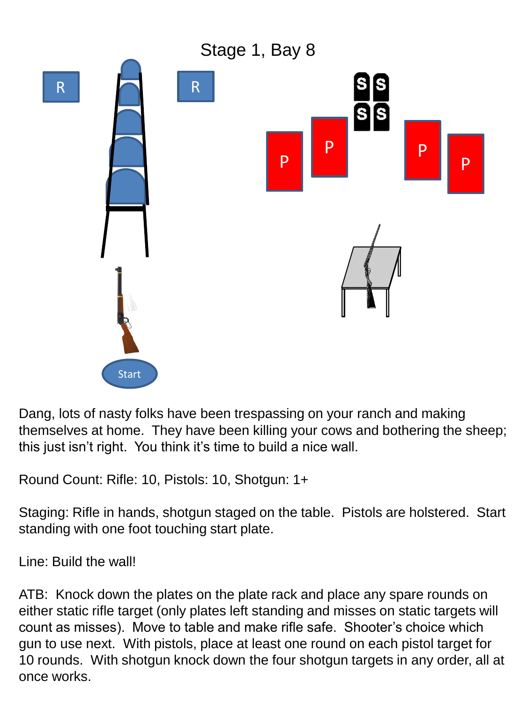

Dang, lots of nasty folks have been trespassing on your ranch and making themselves at home. They have been killing your cows and bothering the sheep; this just isn't right. You think it's time to build a nice wall.

Round Count: Rifle: 10, Pistols: 10, Shotgun: 1+

Staging: Rifle in hands, shotgun staged on the table. Pistols are holstered. Start standing with one foot touching start plate.

Line: Build the wall!

ATB: Knock down the plates on the plate rack and place any spare rounds on either static rifle target (only plates left standing and misses on static targets will count as misses). Move to table and make rifle safe. Shooter's choice which gun to use next. With pistols, place at least one round on each pistol target for 10 rounds. With shotgun knock down the four shotgun targets in any order, all at once works.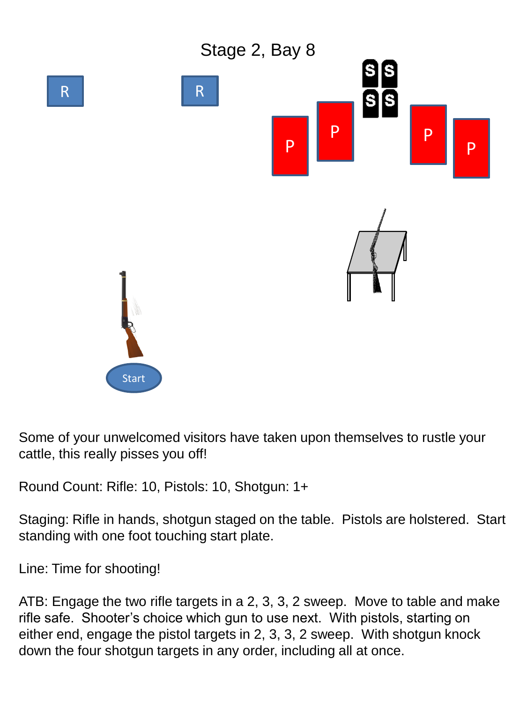

Some of your unwelcomed visitors have taken upon themselves to rustle your cattle, this really pisses you off!

Round Count: Rifle: 10, Pistols: 10, Shotgun: 1+

Staging: Rifle in hands, shotgun staged on the table. Pistols are holstered. Start standing with one foot touching start plate.

Line: Time for shooting!

ATB: Engage the two rifle targets in a 2, 3, 3, 2 sweep. Move to table and make rifle safe. Shooter's choice which gun to use next. With pistols, starting on either end, engage the pistol targets in 2, 3, 3, 2 sweep. With shotgun knock down the four shotgun targets in any order, including all at once.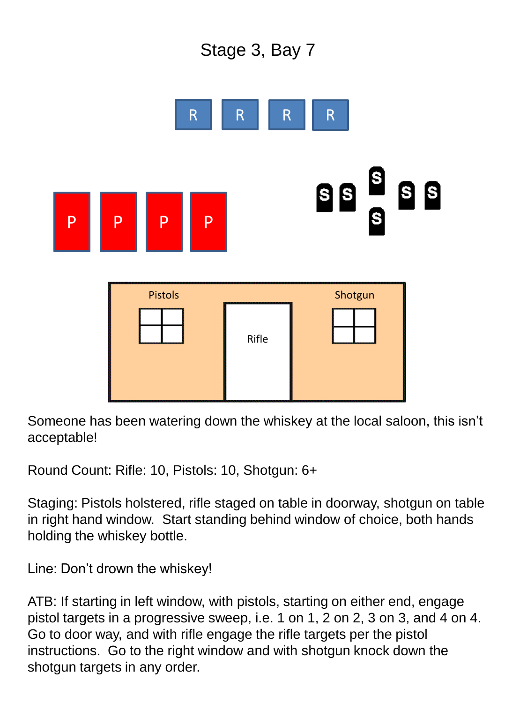



Someone has been watering down the whiskey at the local saloon, this isn't acceptable!

Round Count: Rifle: 10, Pistols: 10, Shotgun: 6+

Staging: Pistols holstered, rifle staged on table in doorway, shotgun on table in right hand window. Start standing behind window of choice, both hands holding the whiskey bottle.

Line: Don't drown the whiskey!

ATB: If starting in left window, with pistols, starting on either end, engage pistol targets in a progressive sweep, i.e. 1 on 1, 2 on 2, 3 on 3, and 4 on 4. Go to door way, and with rifle engage the rifle targets per the pistol instructions. Go to the right window and with shotgun knock down the shotgun targets in any order.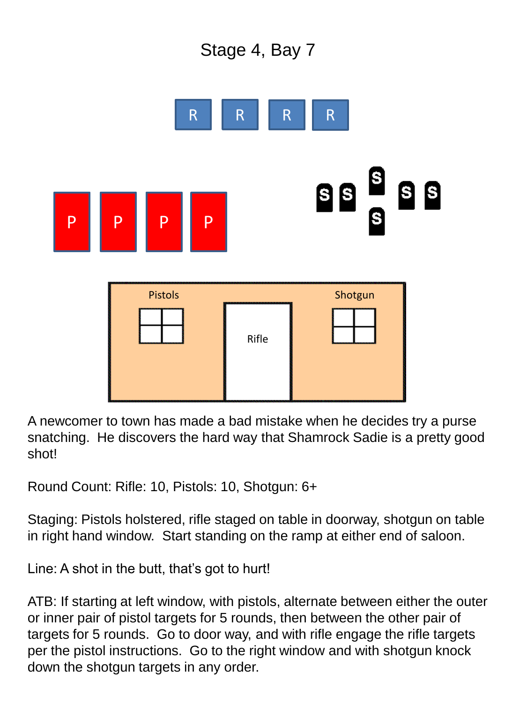



A newcomer to town has made a bad mistake when he decides try a purse snatching. He discovers the hard way that Shamrock Sadie is a pretty good shot!

Round Count: Rifle: 10, Pistols: 10, Shotgun: 6+

Staging: Pistols holstered, rifle staged on table in doorway, shotgun on table in right hand window. Start standing on the ramp at either end of saloon.

Line: A shot in the butt, that's got to hurt!

ATB: If starting at left window, with pistols, alternate between either the outer or inner pair of pistol targets for 5 rounds, then between the other pair of targets for 5 rounds. Go to door way, and with rifle engage the rifle targets per the pistol instructions. Go to the right window and with shotgun knock down the shotgun targets in any order.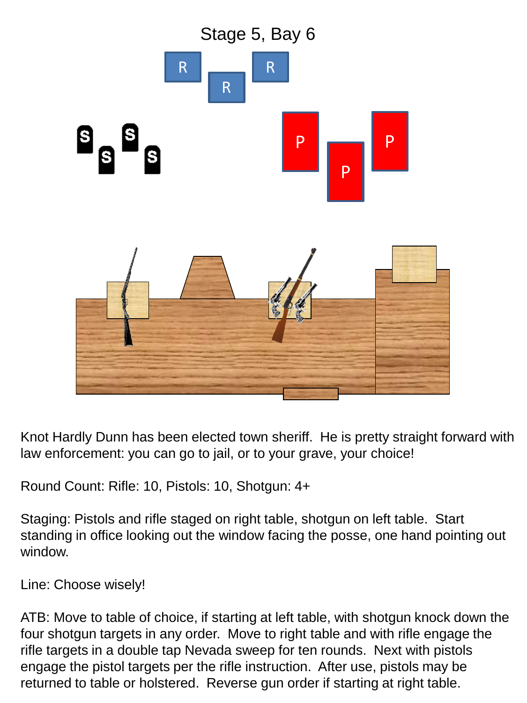

Knot Hardly Dunn has been elected town sheriff. He is pretty straight forward with law enforcement: you can go to jail, or to your grave, your choice!

Round Count: Rifle: 10, Pistols: 10, Shotgun: 4+

Staging: Pistols and rifle staged on right table, shotgun on left table. Start standing in office looking out the window facing the posse, one hand pointing out window.

Line: Choose wisely!

ATB: Move to table of choice, if starting at left table, with shotgun knock down the four shotgun targets in any order. Move to right table and with rifle engage the rifle targets in a double tap Nevada sweep for ten rounds. Next with pistols engage the pistol targets per the rifle instruction. After use, pistols may be returned to table or holstered. Reverse gun order if starting at right table.